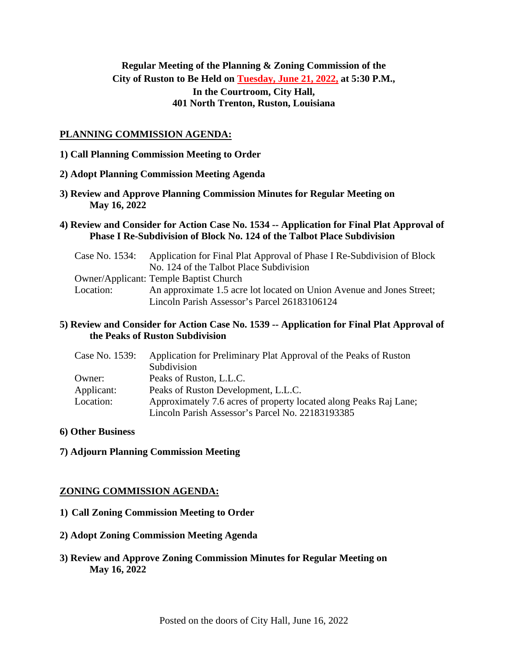# **Regular Meeting of the Planning & Zoning Commission of the City of Ruston to Be Held on Tuesday, June 21, 2022, at 5:30 P.M., In the Courtroom, City Hall, 401 North Trenton, Ruston, Louisiana**

#### **PLANNING COMMISSION AGENDA:**

- **1) Call Planning Commission Meeting to Order**
- **2) Adopt Planning Commission Meeting Agenda**
- **3) Review and Approve Planning Commission Minutes for Regular Meeting on May 16, 2022**
- **4) Review and Consider for Action Case No. 1534 -- Application for Final Plat Approval of Phase I Re-Subdivision of Block No. 124 of the Talbot Place Subdivision**

| Case No. 1534: | Application for Final Plat Approval of Phase I Re-Subdivision of Block |
|----------------|------------------------------------------------------------------------|
|                | No. 124 of the Talbot Place Subdivision                                |
|                | <b>Owner/Applicant: Temple Baptist Church</b>                          |
| Location:      | An approximate 1.5 acre lot located on Union Avenue and Jones Street;  |
|                | Lincoln Parish Assessor's Parcel 26183106124                           |

## **5) Review and Consider for Action Case No. 1539 -- Application for Final Plat Approval of the Peaks of Ruston Subdivision**

| Case No. 1539: | Application for Preliminary Plat Approval of the Peaks of Ruston  |
|----------------|-------------------------------------------------------------------|
|                | Subdivision                                                       |
| Owner:         | Peaks of Ruston, L.L.C.                                           |
| Applicant:     | Peaks of Ruston Development, L.L.C.                               |
| Location:      | Approximately 7.6 acres of property located along Peaks Raj Lane; |
|                | Lincoln Parish Assessor's Parcel No. 22183193385                  |

#### **6) Other Business**

**7) Adjourn Planning Commission Meeting**

### **ZONING COMMISSION AGENDA:**

- **1) Call Zoning Commission Meeting to Order**
- **2) Adopt Zoning Commission Meeting Agenda**
- **3) Review and Approve Zoning Commission Minutes for Regular Meeting on May 16, 2022**